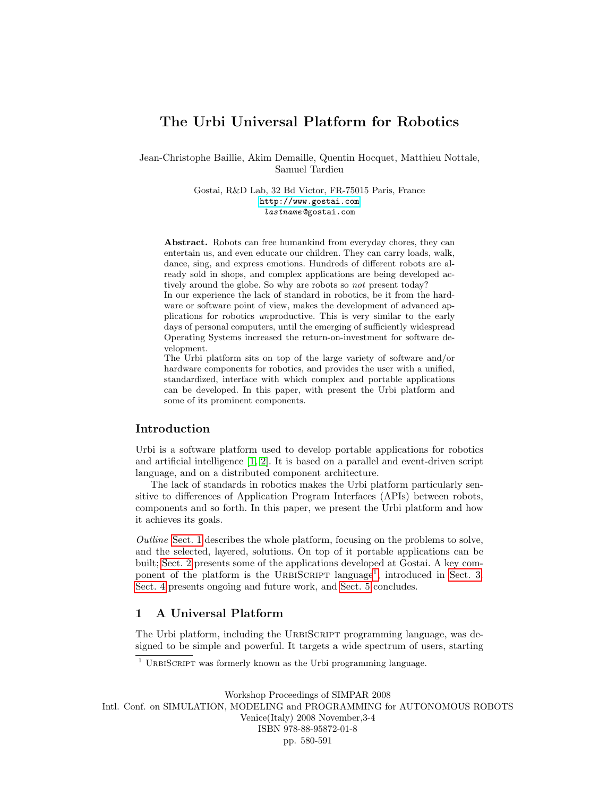# The Urbi Universal Platform for Robotics

Jean-Christophe Baillie, Akim Demaille, Quentin Hocquet, Matthieu Nottale, Samuel Tardieu

> Gostai, R&D Lab, 32 Bd Victor, FR-75015 Paris, France <http://www.gostai.com> lastname @gostai.com

Abstract. Robots can free humankind from everyday chores, they can entertain us, and even educate our children. They can carry loads, walk, dance, sing, and express emotions. Hundreds of different robots are already sold in shops, and complex applications are being developed actively around the globe. So why are robots so not present today?

In our experience the lack of standard in robotics, be it from the hardware or software point of view, makes the development of advanced applications for robotics unproductive. This is very similar to the early days of personal computers, until the emerging of sufficiently widespread Operating Systems increased the return-on-investment for software development.

The Urbi platform sits on top of the large variety of software and/or hardware components for robotics, and provides the user with a unified, standardized, interface with which complex and portable applications can be developed. In this paper, with present the Urbi platform and some of its prominent components.

### Introduction

Urbi is a software platform used to develop portable applications for robotics and artificial intelligence [\[1,](#page-11-0) [2\]](#page-11-1). It is based on a parallel and event-driven script language, and on a distributed component architecture.

The lack of standards in robotics makes the Urbi platform particularly sensitive to differences of Application Program Interfaces (APIs) between robots, components and so forth. In this paper, we present the Urbi platform and how it achieves its goals.

Outline [Sect. 1](#page-0-0) describes the whole platform, focusing on the problems to solve, and the selected, layered, solutions. On top of it portable applications can be built; [Sect. 2](#page-4-0) presents some of the applications developed at Gostai. A key com-ponent of the platform is the URBISCRIPT language<sup>[1](#page-0-1)</sup>, introduced in [Sect. 3.](#page-5-0) [Sect. 4](#page-10-0) presents ongoing and future work, and [Sect. 5](#page-10-1) concludes.

## <span id="page-0-0"></span>1 A Universal Platform

The Urbi platform, including the URBISCRIPT programming language, was designed to be simple and powerful. It targets a wide spectrum of users, starting

<span id="page-0-1"></span> $\frac{1}{1}$  URBISCRIPT was formerly known as the Urbi programming language.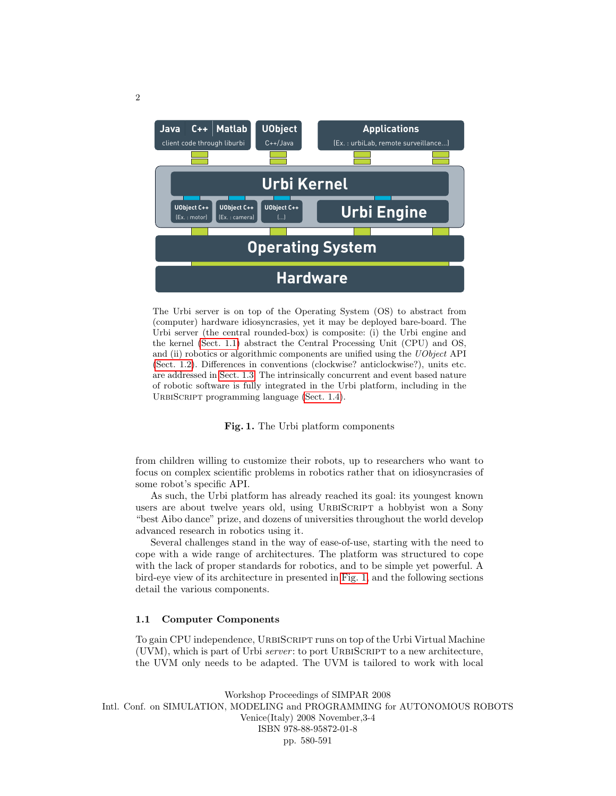

The Urbi server is on top of the Operating System (OS) to abstract from (computer) hardware idiosyncrasies, yet it may be deployed bare-board. The Urbi server (the central rounded-box) is composite: (i) the Urbi engine and the kernel [\(Sect. 1.1\)](#page-1-0) abstract the Central Processing Unit (CPU) and OS, and (ii) robotics or algorithmic components are unified using the UObject API [\(Sect. 1.2\)](#page-2-0). Differences in conventions (clockwise? anticlockwise?), units etc. are addressed in [Sect. 1.3.](#page-3-0) The intrinsically concurrent and event based nature of robotic software is fully integrated in the Urbi platform, including in the URBISCRIPT programming language [\(Sect. 1.4\)](#page-3-1).

<span id="page-1-1"></span>Fig. 1. The Urbi platform components

from children willing to customize their robots, up to researchers who want to focus on complex scientific problems in robotics rather that on idiosyncrasies of some robot's specific API.

As such, the Urbi platform has already reached its goal: its youngest known users are about twelve years old, using URBISCRIPT a hobbyist won a Sony "best Aibo dance" prize, and dozens of universities throughout the world develop advanced research in robotics using it.

Several challenges stand in the way of ease-of-use, starting with the need to cope with a wide range of architectures. The platform was structured to cope with the lack of proper standards for robotics, and to be simple yet powerful. A bird-eye view of its architecture in presented in [Fig. 1,](#page-1-1) and the following sections detail the various components.

### <span id="page-1-0"></span>1.1 Computer Components

To gain CPU independence, URBISCRIPT runs on top of the Urbi Virtual Machine (UVM), which is part of Urbi server: to port URBISCRIPT to a new architecture, the UVM only needs to be adapted. The UVM is tailored to work with local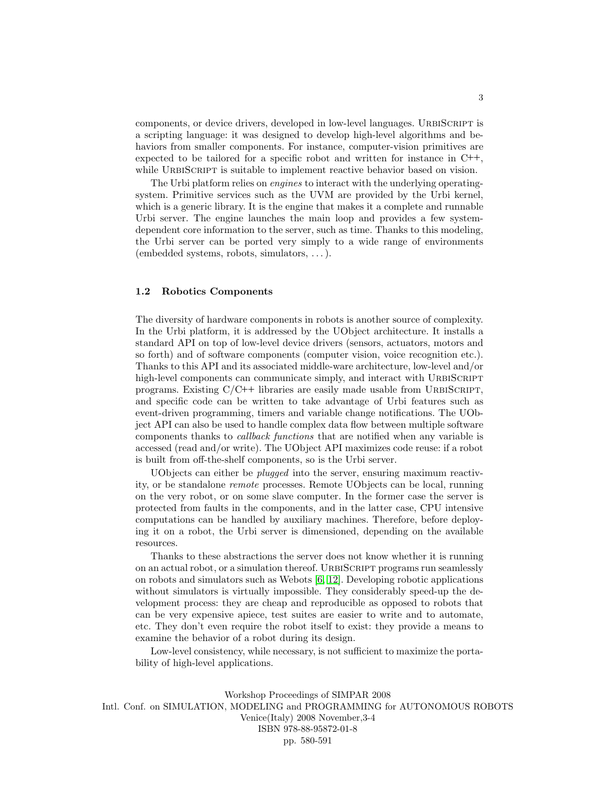components, or device drivers, developed in low-level languages. URBISCRIPT is a scripting language: it was designed to develop high-level algorithms and behaviors from smaller components. For instance, computer-vision primitives are expected to be tailored for a specific robot and written for instance in C++, while URBISCRIPT is suitable to implement reactive behavior based on vision.

The Urbi platform relies on engines to interact with the underlying operatingsystem. Primitive services such as the UVM are provided by the Urbi kernel, which is a generic library. It is the engine that makes it a complete and runnable Urbi server. The engine launches the main loop and provides a few systemdependent core information to the server, such as time. Thanks to this modeling, the Urbi server can be ported very simply to a wide range of environments (embedded systems, robots, simulators, . . . ).

### <span id="page-2-0"></span>1.2 Robotics Components

The diversity of hardware components in robots is another source of complexity. In the Urbi platform, it is addressed by the UObject architecture. It installs a standard API on top of low-level device drivers (sensors, actuators, motors and so forth) and of software components (computer vision, voice recognition etc.). Thanks to this API and its associated middle-ware architecture, low-level and/or high-level components can communicate simply, and interact with URBISCRIPT programs. Existing  $C/C^{++}$  libraries are easily made usable from URBISCRIPT, and specific code can be written to take advantage of Urbi features such as event-driven programming, timers and variable change notifications. The UObject API can also be used to handle complex data flow between multiple software components thanks to callback functions that are notified when any variable is accessed (read and/or write). The UObject API maximizes code reuse: if a robot is built from off-the-shelf components, so is the Urbi server.

UObjects can either be plugged into the server, ensuring maximum reactivity, or be standalone remote processes. Remote UObjects can be local, running on the very robot, or on some slave computer. In the former case the server is protected from faults in the components, and in the latter case, CPU intensive computations can be handled by auxiliary machines. Therefore, before deploying it on a robot, the Urbi server is dimensioned, depending on the available resources.

Thanks to these abstractions the server does not know whether it is running on an actual robot, or a simulation thereof. URBISCRIPT programs run seamlessly on robots and simulators such as Webots [\[6,](#page-11-2) [12\]](#page-11-3). Developing robotic applications without simulators is virtually impossible. They considerably speed-up the development process: they are cheap and reproducible as opposed to robots that can be very expensive apiece, test suites are easier to write and to automate, etc. They don't even require the robot itself to exist: they provide a means to examine the behavior of a robot during its design.

Low-level consistency, while necessary, is not sufficient to maximize the portability of high-level applications.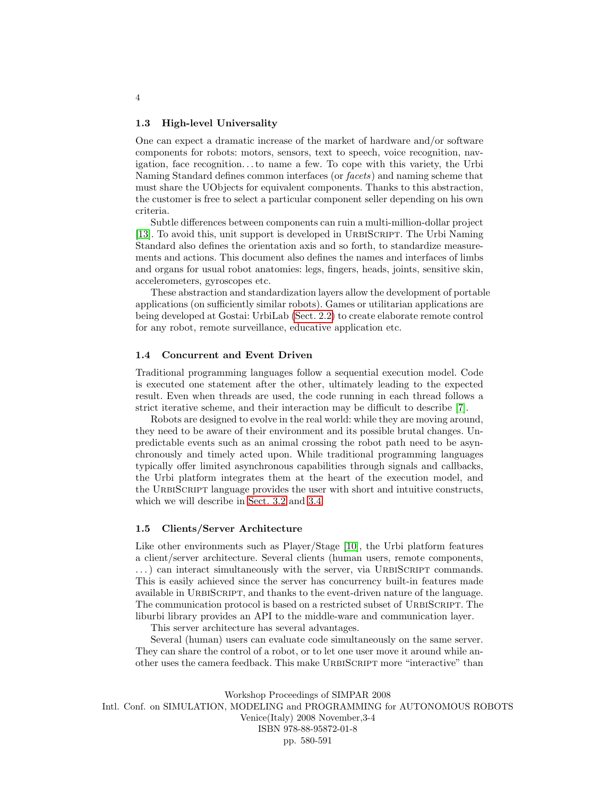#### <span id="page-3-0"></span>1.3 High-level Universality

One can expect a dramatic increase of the market of hardware and/or software components for robots: motors, sensors, text to speech, voice recognition, navigation, face recognition. . . to name a few. To cope with this variety, the Urbi Naming Standard defines common interfaces (or facets) and naming scheme that must share the UObjects for equivalent components. Thanks to this abstraction, the customer is free to select a particular component seller depending on his own criteria.

Subtle differences between components can ruin a multi-million-dollar project [\[13\]](#page-11-4). To avoid this, unit support is developed in URBISCRIPT. The Urbi Naming Standard also defines the orientation axis and so forth, to standardize measurements and actions. This document also defines the names and interfaces of limbs and organs for usual robot anatomies: legs, fingers, heads, joints, sensitive skin, accelerometers, gyroscopes etc.

These abstraction and standardization layers allow the development of portable applications (on sufficiently similar robots). Games or utilitarian applications are being developed at Gostai: UrbiLab [\(Sect. 2.2\)](#page-5-1) to create elaborate remote control for any robot, remote surveillance, educative application etc.

#### <span id="page-3-1"></span>1.4 Concurrent and Event Driven

Traditional programming languages follow a sequential execution model. Code is executed one statement after the other, ultimately leading to the expected result. Even when threads are used, the code running in each thread follows a strict iterative scheme, and their interaction may be difficult to describe [\[7\]](#page-11-5).

Robots are designed to evolve in the real world: while they are moving around, they need to be aware of their environment and its possible brutal changes. Unpredictable events such as an animal crossing the robot path need to be asynchronously and timely acted upon. While traditional programming languages typically offer limited asynchronous capabilities through signals and callbacks, the Urbi platform integrates them at the heart of the execution model, and the URBISCRIPT language provides the user with short and intuitive constructs, which we will describe in [Sect. 3.2](#page-7-0) and [3.4.](#page-9-0)

### 1.5 Clients/Server Architecture

Like other environments such as Player/Stage [\[10\]](#page-11-6), the Urbi platform features a client/server architecture. Several clients (human users, remote components, ...) can interact simultaneously with the server, via URBISCRIPT commands. This is easily achieved since the server has concurrency built-in features made available in URBISCRIPT, and thanks to the event-driven nature of the language. The communication protocol is based on a restricted subset of URBISCRIPT. The liburbi library provides an API to the middle-ware and communication layer.

This server architecture has several advantages.

Several (human) users can evaluate code simultaneously on the same server. They can share the control of a robot, or to let one user move it around while another uses the camera feedback. This make URBISCRIPT more "interactive" than

Workshop Proceedings of SIMPAR 2008 Intl. Conf. on SIMULATION, MODELING and PROGRAMMING for AUTONOMOUS ROBOTS Venice(Italy) 2008 November,3-4 ISBN 978-88-95872-01-8 pp. 580-591

### 4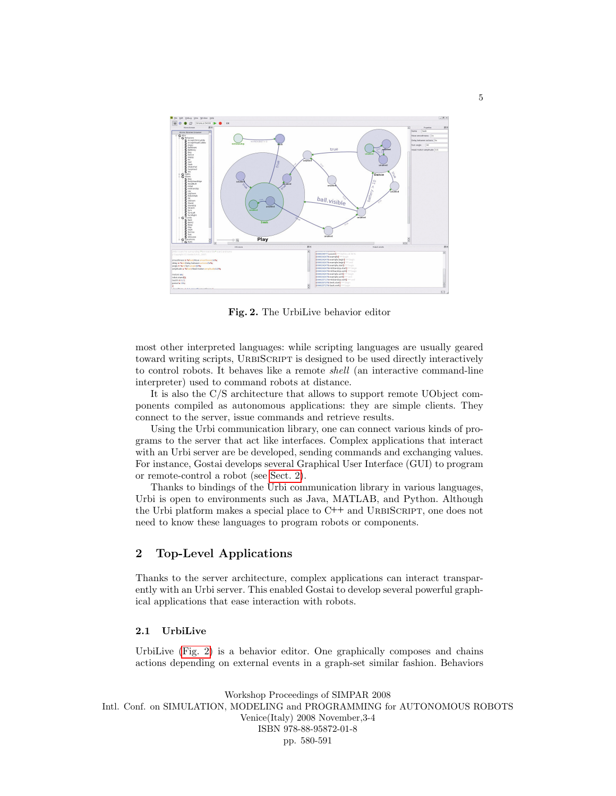

<span id="page-4-1"></span>Fig. 2. The UrbiLive behavior editor

most other interpreted languages: while scripting languages are usually geared toward writing scripts, URBISCRIPT is designed to be used directly interactively to control robots. It behaves like a remote shell (an interactive command-line interpreter) used to command robots at distance.

It is also the C/S architecture that allows to support remote UObject components compiled as autonomous applications: they are simple clients. They connect to the server, issue commands and retrieve results.

Using the Urbi communication library, one can connect various kinds of programs to the server that act like interfaces. Complex applications that interact with an Urbi server are be developed, sending commands and exchanging values. For instance, Gostai develops several Graphical User Interface (GUI) to program or remote-control a robot (see [Sect. 2\)](#page-4-0).

Thanks to bindings of the Urbi communication library in various languages, Urbi is open to environments such as Java, MATLAB, and Python. Although the Urbi platform makes a special place to  $C++$  and URBISCRIPT, one does not need to know these languages to program robots or components.

## <span id="page-4-0"></span>2 Top-Level Applications

Thanks to the server architecture, complex applications can interact transparently with an Urbi server. This enabled Gostai to develop several powerful graphical applications that ease interaction with robots.

### 2.1 UrbiLive

UrbiLive [\(Fig. 2\)](#page-4-1) is a behavior editor. One graphically composes and chains actions depending on external events in a graph-set similar fashion. Behaviors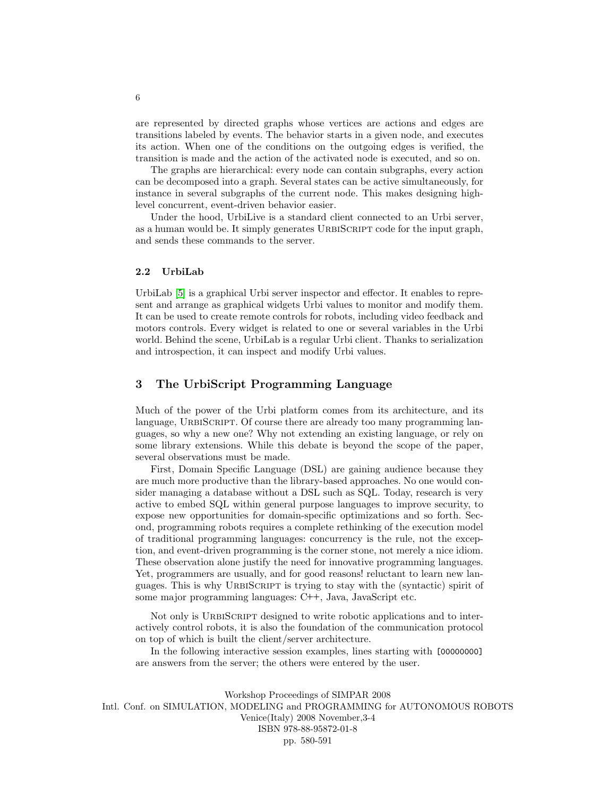are represented by directed graphs whose vertices are actions and edges are transitions labeled by events. The behavior starts in a given node, and executes its action. When one of the conditions on the outgoing edges is verified, the transition is made and the action of the activated node is executed, and so on.

The graphs are hierarchical: every node can contain subgraphs, every action can be decomposed into a graph. Several states can be active simultaneously, for instance in several subgraphs of the current node. This makes designing highlevel concurrent, event-driven behavior easier.

Under the hood, UrbiLive is a standard client connected to an Urbi server, as a human would be. It simply generates URBISCRIPT code for the input graph, and sends these commands to the server.

### <span id="page-5-1"></span>2.2 UrbiLab

UrbiLab [\[5\]](#page-11-7) is a graphical Urbi server inspector and effector. It enables to represent and arrange as graphical widgets Urbi values to monitor and modify them. It can be used to create remote controls for robots, including video feedback and motors controls. Every widget is related to one or several variables in the Urbi world. Behind the scene, UrbiLab is a regular Urbi client. Thanks to serialization and introspection, it can inspect and modify Urbi values.

### <span id="page-5-0"></span>3 The UrbiScript Programming Language

Much of the power of the Urbi platform comes from its architecture, and its language, URBISCRIPT. Of course there are already too many programming languages, so why a new one? Why not extending an existing language, or rely on some library extensions. While this debate is beyond the scope of the paper, several observations must be made.

First, Domain Specific Language (DSL) are gaining audience because they are much more productive than the library-based approaches. No one would consider managing a database without a DSL such as SQL. Today, research is very active to embed SQL within general purpose languages to improve security, to expose new opportunities for domain-specific optimizations and so forth. Second, programming robots requires a complete rethinking of the execution model of traditional programming languages: concurrency is the rule, not the exception, and event-driven programming is the corner stone, not merely a nice idiom. These observation alone justify the need for innovative programming languages. Yet, programmers are usually, and for good reasons! reluctant to learn new languages. This is why URBISCRIPT is trying to stay with the (syntactic) spirit of some major programming languages: C++, Java, JavaScript etc.

Not only is URBISCRIPT designed to write robotic applications and to interactively control robots, it is also the foundation of the communication protocol on top of which is built the client/server architecture.

In the following interactive session examples, lines starting with [00000000] are answers from the server; the others were entered by the user.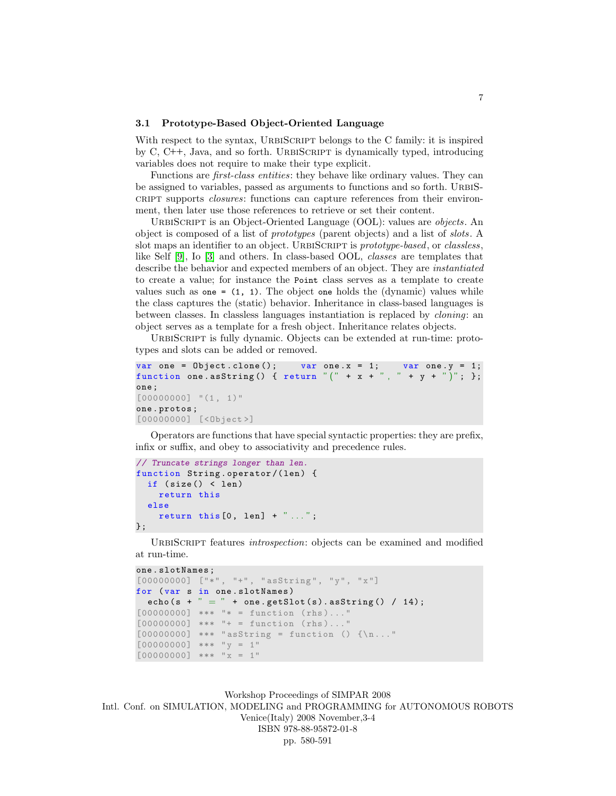### 3.1 Prototype-Based Object-Oriented Language

With respect to the syntax, URBISCRIPT belongs to the C family: it is inspired by  $C, C++,$  Java, and so forth. URBISCRIPT is dynamically typed, introducing variables does not require to make their type explicit.

Functions are first-class entities: they behave like ordinary values. They can be assigned to variables, passed as arguments to functions and so forth. URBIScript supports *closures*: functions can capture references from their environment, then later use those references to retrieve or set their content.

URBISCRIPT is an Object-Oriented Language (OOL): values are *objects*. An object is composed of a list of prototypes (parent objects) and a list of slots. A slot maps an identifier to an object. URBISCRIPT is prototype-based, or classless, like Self [\[9\]](#page-11-8), Io [\[3\]](#page-11-9) and others. In class-based OOL, classes are templates that describe the behavior and expected members of an object. They are instantiated to create a value; for instance the Point class serves as a template to create values such as one  $= (1, 1)$ . The object one holds the (dynamic) values while the class captures the (static) behavior. Inheritance in class-based languages is between classes. In classless languages instantiation is replaced by cloning: an object serves as a template for a fresh object. Inheritance relates objects.

URBISCRIPT is fully dynamic. Objects can be extended at run-time: prototypes and slots can be added or removed.

```
var one = Object. clone(); var one.x = 1; var one.y = 1;
function one asString () { return " (" + x + ", " + y + ")"; };
one ;
[00000000] "(1, 1)"
one . protos ;
[00000000] [<0bject>]
```
Operators are functions that have special syntactic properties: they are prefix, infix or suffix, and obey to associativity and precedence rules.

```
// Truncate strings longer than len.
function String.operator/(len) {
  if ( size () < len )
    return this
  else
    return this [0, \text{len}] + " \dots";
};
```
URBISCRIPT features *introspection*: objects can be examined and modified at run-time.

```
one . slotNames ;
[00000000] ["*", "+", "assign*] "asString", "y", "x"]
for (var s in one.slotNames)
  echo(s + " = " + one.getSlot(s).asString() / 14);[00000000] *** "* = function (rhs)..."
[00000000] *** "++ = function (rhs)..."
[00000000] *** "asString = function () {\n_..."
[00000000] *** "y = 1"
[00000000] *** "x = 1"
```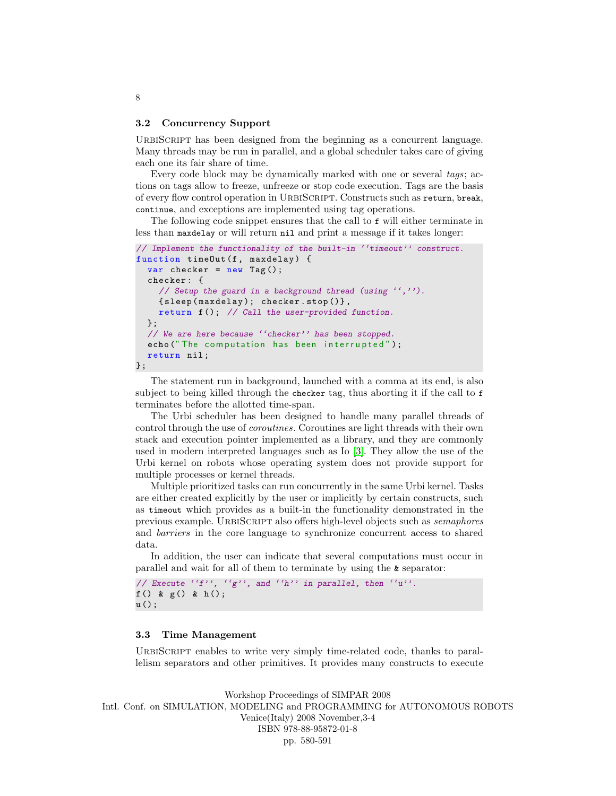#### <span id="page-7-0"></span>3.2 Concurrency Support

URBISCRIPT has been designed from the beginning as a concurrent language. Many threads may be run in parallel, and a global scheduler takes care of giving each one its fair share of time.

Every code block may be dynamically marked with one or several tags; actions on tags allow to freeze, unfreeze or stop code execution. Tags are the basis of every flow control operation in UrbiScript. Constructs such as return, break, continue, and exceptions are implemented using tag operations.

The following code snippet ensures that the call to f will either terminate in less than maxdelay or will return nil and print a message if it takes longer:

```
// Implement the functionality of the built-in ''timeout'' construct.
function timeOut (f, maxdelay) {
  var checker = new Tag();
  checker : {
    // Setup the guard in a background thread (using '','').
    { sleep ( maxdelay ); checker . stop ()} ,
    return f (); // Call the user-provided function.
  };
  // We are here because ''checker'' has been stopped.
  echo ("The computation has been interrupted");
  return nil ;
};
```
The statement run in background, launched with a comma at its end, is also subject to being killed through the checker tag, thus aborting it if the call to f terminates before the allotted time-span.

The Urbi scheduler has been designed to handle many parallel threads of control through the use of coroutines. Coroutines are light threads with their own stack and execution pointer implemented as a library, and they are commonly used in modern interpreted languages such as Io [\[3\]](#page-11-9). They allow the use of the Urbi kernel on robots whose operating system does not provide support for multiple processes or kernel threads.

Multiple prioritized tasks can run concurrently in the same Urbi kernel. Tasks are either created explicitly by the user or implicitly by certain constructs, such as timeout which provides as a built-in the functionality demonstrated in the previous example. URBISCRIPT also offers high-level objects such as *semaphores* and barriers in the core language to synchronize concurrent access to shared data.

In addition, the user can indicate that several computations must occur in parallel and wait for all of them to terminate by using the & separator:

```
// Execute ``f'', ``g'', and ``h'' in parallel, then ``u''.
f () & g () & h ();
u ();
```
### 3.3 Time Management

URBISCRIPT enables to write very simply time-related code, thanks to parallelism separators and other primitives. It provides many constructs to execute

Workshop Proceedings of SIMPAR 2008 Intl. Conf. on SIMULATION, MODELING and PROGRAMMING for AUTONOMOUS ROBOTS Venice(Italy) 2008 November,3-4 ISBN 978-88-95872-01-8 pp. 580-591

### 8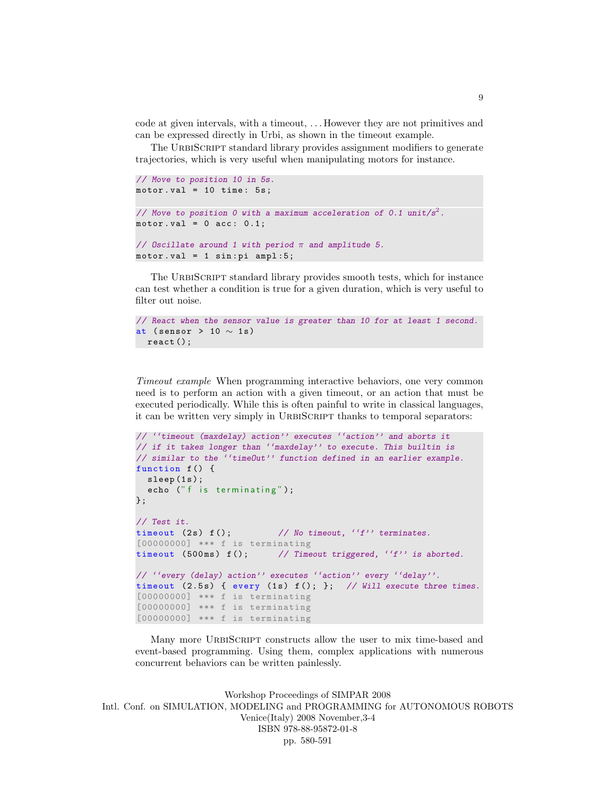code at given intervals, with a timeout, . . . However they are not primitives and can be expressed directly in Urbi, as shown in the timeout example.

The URBISCRIPT standard library provides assignment modifiers to generate trajectories, which is very useful when manipulating motors for instance.

```
// Move to position 10 in 5s.
motor.val = 10 time: 5s;// Move to position 0 with a maximum acceleration of 0.1 unit/s^2.
motor.val = 0 acc: 0.1;// Oscillate around 1 with period \pi and amplitude 5.
motor.val = 1 sin:pi amp1:5;
```
The URBISCRIPT standard library provides smooth tests, which for instance can test whether a condition is true for a given duration, which is very useful to filter out noise.

```
// React when the sensor value is greater than 10 for at least 1 second.
at (sensor > 10 \sim 1s)
  react ();
```
Timeout example When programming interactive behaviors, one very common need is to perform an action with a given timeout, or an action that must be executed periodically. While this is often painful to write in classical languages, it can be written very simply in URBISCRIPT thanks to temporal separators:

```
// ''timeout (maxdelay) action'' executes ''action'' and aborts it
// if it takes longer than ''maxdelay'' to execute. This builtin is
// similar to the ''timeOut'' function defined in an earlier example.
function f() {
  sleep(1s);
  echo ("f is terminating");
};
// Test it.
timeout (2s) f(); \frac{1}{s} // No timeout, (f') terminates.
[00000000] *** f is terminating
timeout (500ms) f(); // Timeout triggered, '(f') is aborted.
// ''every (delay) action'' executes ''action'' every ''delay''.
timeout (2.5s) { every (1s) f (); }; // Will execute three times.
[00000000] *** f is terminating
[00000000] *** f is terminating
[00000000] *** f is terminating
```
Many more URBISCRIPT constructs allow the user to mix time-based and event-based programming. Using them, complex applications with numerous concurrent behaviors can be written painlessly.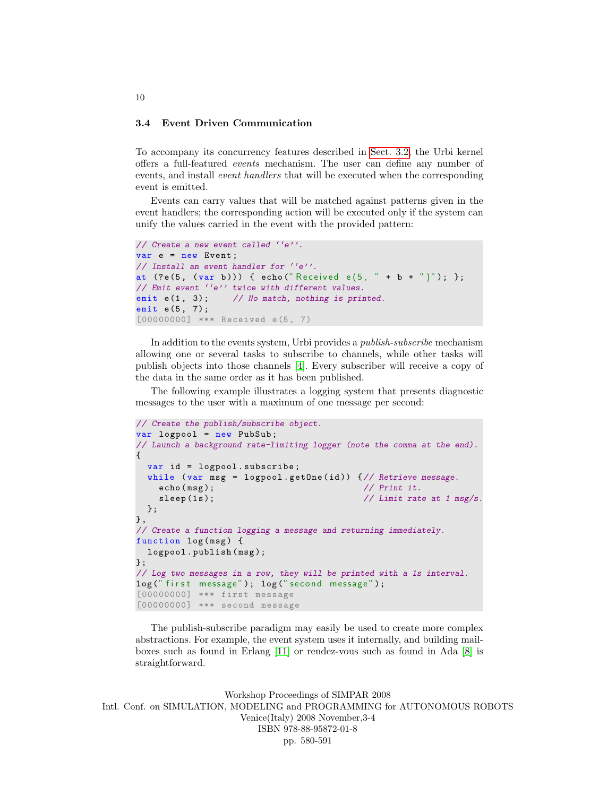### <span id="page-9-0"></span>3.4 Event Driven Communication

To accompany its concurrency features described in [Sect. 3.2,](#page-7-0) the Urbi kernel offers a full-featured events mechanism. The user can define any number of events, and install event handlers that will be executed when the corresponding event is emitted.

Events can carry values that will be matched against patterns given in the event handlers; the corresponding action will be executed only if the system can unify the values carried in the event with the provided pattern:

```
// Create a new event called ''e''.
var e = new Event ;
// Install an event handler for ''e''.
at (?e(5, (var b))) \{ echo("Received e(5, " + b + ")"); };// Emit event ''e'' twice with different values.
emit e(1, 3); // No match, nothing is printed.
emit e(5, 7);
[00000000] *** Received e(5, 7)
```
In addition to the events system, Urbi provides a publish-subscribe mechanism allowing one or several tasks to subscribe to channels, while other tasks will publish objects into those channels [\[4\]](#page-11-10). Every subscriber will receive a copy of the data in the same order as it has been published.

The following example illustrates a logging system that presents diagnostic messages to the user with a maximum of one message per second:

```
// Create the publish/subscribe object.
var logpool = new PubSub ;
// Launch a background rate-limiting logger (note the comma at the end).
{
  var id = logpool . subscribe ;
  while (var msg = logpool.getOne(id)) \frac{1}{1} Retrieve message.
    echo(msg); // Print it.
    sleep (1s); \frac{1}{s} // Limit rate at 1 msg/s.
  };
} ,
// Create a function logging a message and returning immediately.
function log(msg) {
  logpool.publish (msg);
};
// Log two messages in a row, they will be printed with a 1s interval.
log (" first message"); log (" second message");
[00000000] *** first message
[00000000] *** second message
```
The publish-subscribe paradigm may easily be used to create more complex abstractions. For example, the event system uses it internally, and building mailboxes such as found in Erlang [\[11\]](#page-11-11) or rendez-vous such as found in Ada [\[8\]](#page-11-12) is straightforward.

Workshop Proceedings of SIMPAR 2008 Intl. Conf. on SIMULATION, MODELING and PROGRAMMING for AUTONOMOUS ROBOTS Venice(Italy) 2008 November,3-4 ISBN 978-88-95872-01-8 pp. 580-591

#### 10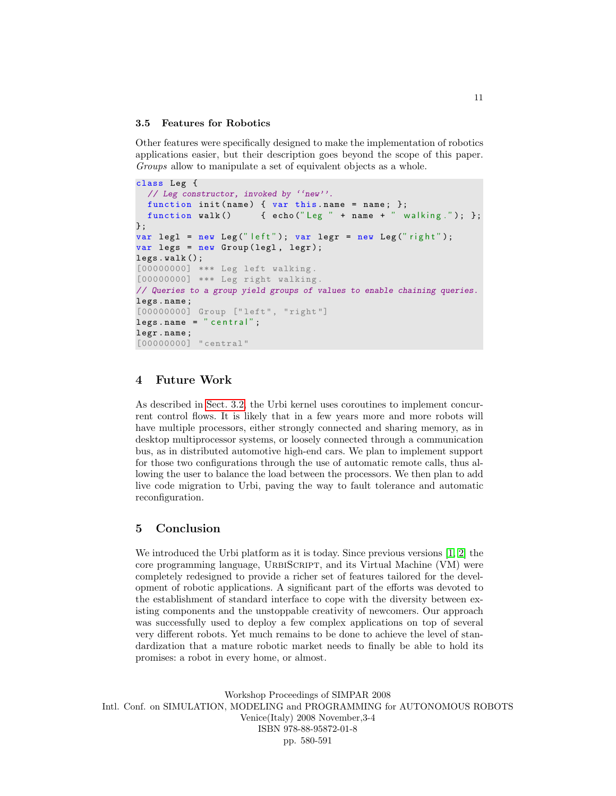### 3.5 Features for Robotics

Other features were specifically designed to make the implementation of robotics applications easier, but their description goes beyond the scope of this paper. Groups allow to manipulate a set of equivalent objects as a whole.

```
class Leg {
  // Leg constructor, invoked by ''new''.
  function init(name) { var this name = name; };
  function walk () \{ \text{echo("Leg " + name + " walking."); } \};};
var legl = new Leg (" left"); var legr = new Leg (" right");
var legs = new Group (legl, legr);
legs . walk ();
[00000000] *** Leg left walking .
[00000000] *** Leg right walking .
// Queries to a group yield groups of values to enable chaining queries.
legs . name ;
[00000000] Group ["left", "right"]
legs.name = "central";legr . name ;
[00000000] " central"
```
## <span id="page-10-0"></span>4 Future Work

As described in [Sect. 3.2,](#page-7-0) the Urbi kernel uses coroutines to implement concurrent control flows. It is likely that in a few years more and more robots will have multiple processors, either strongly connected and sharing memory, as in desktop multiprocessor systems, or loosely connected through a communication bus, as in distributed automotive high-end cars. We plan to implement support for those two configurations through the use of automatic remote calls, thus allowing the user to balance the load between the processors. We then plan to add live code migration to Urbi, paving the way to fault tolerance and automatic reconfiguration.

### <span id="page-10-1"></span>5 Conclusion

We introduced the Urbi platform as it is today. Since previous versions [\[1,](#page-11-0) [2\]](#page-11-1) the core programming language, URBISCRIPT, and its Virtual Machine (VM) were completely redesigned to provide a richer set of features tailored for the development of robotic applications. A significant part of the efforts was devoted to the establishment of standard interface to cope with the diversity between existing components and the unstoppable creativity of newcomers. Our approach was successfully used to deploy a few complex applications on top of several very different robots. Yet much remains to be done to achieve the level of standardization that a mature robotic market needs to finally be able to hold its promises: a robot in every home, or almost.